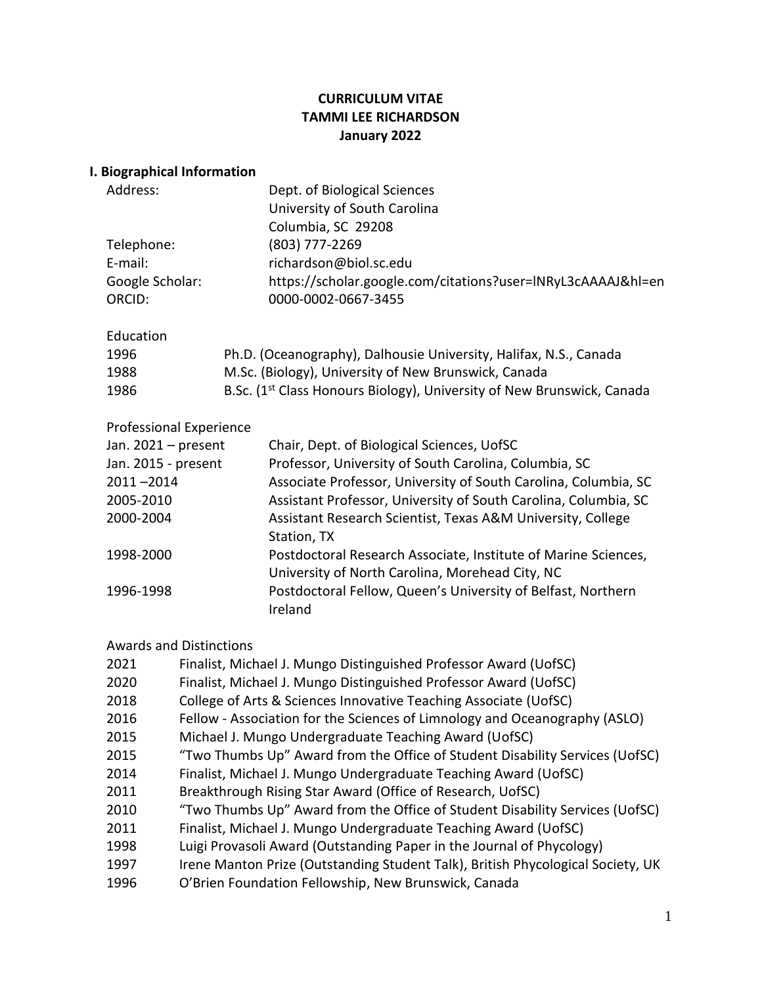# **CURRICULUM VITAE TAMMI LEE RICHARDSON January 2022**

|  |  |  | I. Biographical Information |  |
|--|--|--|-----------------------------|--|
|--|--|--|-----------------------------|--|

| Address:                       | Dept. of Biological Sciences                                                       |
|--------------------------------|------------------------------------------------------------------------------------|
|                                | University of South Carolina                                                       |
|                                | Columbia, SC 29208                                                                 |
| Telephone:                     | (803) 777-2269                                                                     |
| E-mail:                        | richardson@biol.sc.edu                                                             |
| Google Scholar:                | https://scholar.google.com/citations?user=INRyL3cAAAAJ&hl=en                       |
| ORCID:                         | 0000-0002-0667-3455                                                                |
| Education                      |                                                                                    |
| 1996                           | Ph.D. (Oceanography), Dalhousie University, Halifax, N.S., Canada                  |
| 1988                           | M.Sc. (Biology), University of New Brunswick, Canada                               |
| 1986                           | B.Sc. (1 <sup>st</sup> Class Honours Biology), University of New Brunswick, Canada |
| <b>Professional Experience</b> |                                                                                    |

| Jan. $2021$ – present | Chair, Dept. of Biological Sciences, UofSC                      |
|-----------------------|-----------------------------------------------------------------|
| Jan. 2015 - present   | Professor, University of South Carolina, Columbia, SC           |
| $2011 - 2014$         | Associate Professor, University of South Carolina, Columbia, SC |
| 2005-2010             | Assistant Professor, University of South Carolina, Columbia, SC |
| 2000-2004             | Assistant Research Scientist, Texas A&M University, College     |
|                       | Station, TX                                                     |
| 1998-2000             | Postdoctoral Research Associate, Institute of Marine Sciences,  |
|                       | University of North Carolina, Morehead City, NC                 |
| 1996-1998             | Postdoctoral Fellow, Queen's University of Belfast, Northern    |
|                       | Ireland                                                         |

# Awards and Distinctions

| 2021 | Finalist, Michael J. Mungo Distinguished Professor Award (UofSC)                |
|------|---------------------------------------------------------------------------------|
| 2020 | Finalist, Michael J. Mungo Distinguished Professor Award (UofSC)                |
| 2018 | College of Arts & Sciences Innovative Teaching Associate (UofSC)                |
| 2016 | Fellow - Association for the Sciences of Limnology and Oceanography (ASLO)      |
| 2015 | Michael J. Mungo Undergraduate Teaching Award (UofSC)                           |
| 2015 | "Two Thumbs Up" Award from the Office of Student Disability Services (UofSC)    |
| 2014 | Finalist, Michael J. Mungo Undergraduate Teaching Award (UofSC)                 |
| 2011 | Breakthrough Rising Star Award (Office of Research, UofSC)                      |
| 2010 | "Two Thumbs Up" Award from the Office of Student Disability Services (UofSC)    |
| 2011 | Finalist, Michael J. Mungo Undergraduate Teaching Award (UofSC)                 |
| 1998 | Luigi Provasoli Award (Outstanding Paper in the Journal of Phycology)           |
| 1997 | Irene Manton Prize (Outstanding Student Talk), British Phycological Society, UK |
| 1996 | O'Brien Foundation Fellowship, New Brunswick, Canada                            |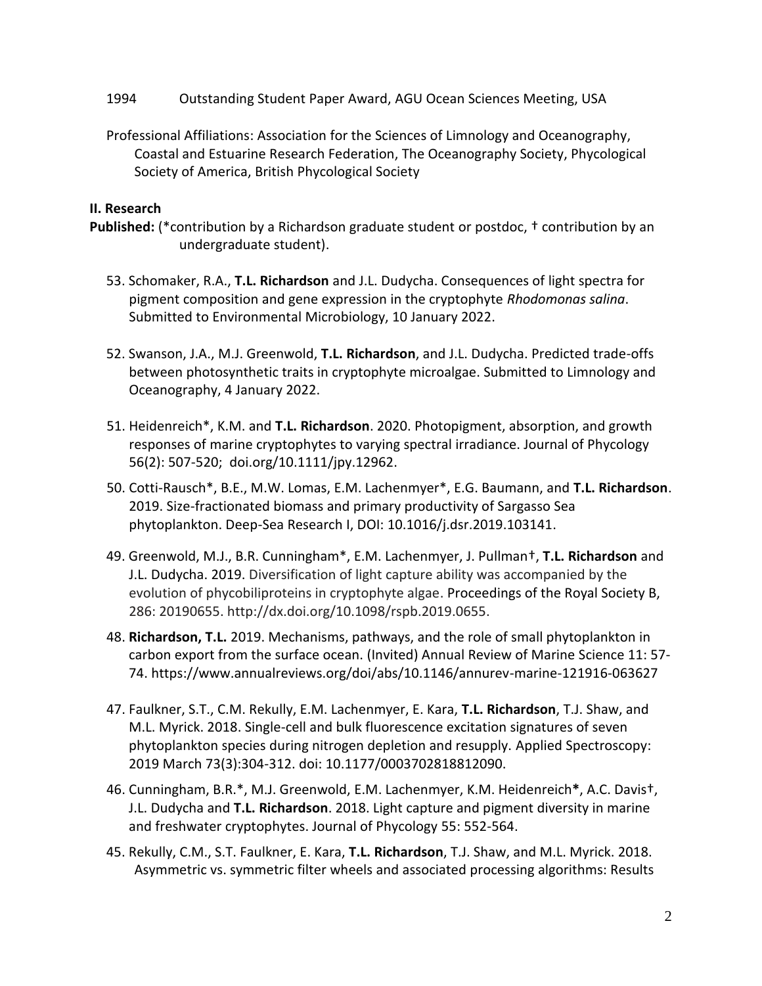- 1994 Outstanding Student Paper Award, AGU Ocean Sciences Meeting, USA
- Professional Affiliations: Association for the Sciences of Limnology and Oceanography, Coastal and Estuarine Research Federation, The Oceanography Society, Phycological Society of America, British Phycological Society

### **II. Research**

- **Published:** (\*contribution by a Richardson graduate student or postdoc, † contribution by an undergraduate student).
	- 53. Schomaker, R.A., **T.L. Richardson** and J.L. Dudycha. Consequences of light spectra for pigment composition and gene expression in the cryptophyte *Rhodomonas salina*. Submitted to Environmental Microbiology, 10 January 2022.
	- 52. Swanson, J.A., M.J. Greenwold, **T.L. Richardson**, and J.L. Dudycha. Predicted trade-offs between photosynthetic traits in cryptophyte microalgae. Submitted to Limnology and Oceanography, 4 January 2022.
	- 51. Heidenreich\*, K.M. and **T.L. Richardson**. 2020. Photopigment, absorption, and growth responses of marine cryptophytes to varying spectral irradiance. Journal of Phycology 56(2): 507-520; doi.org/10.1111/jpy.12962.
	- 50. Cotti-Rausch\*, B.E., M.W. Lomas, E.M. Lachenmyer\*, E.G. Baumann, and **T.L. Richardson**. 2019. Size-fractionated biomass and primary productivity of Sargasso Sea phytoplankton. Deep-Sea Research I, DOI: 10.1016/j.dsr.2019.103141.
	- 49. Greenwold, M.J., B.R. Cunningham\*, E.M. Lachenmyer, J. Pullman†, **T.L. Richardson** and J.L. Dudycha. 2019. Diversification of light capture ability was accompanied by the evolution of phycobiliproteins in cryptophyte algae. Proceedings of the Royal Society B, 286: 20190655. http://dx.doi.org/10.1098/rspb.2019.0655.
	- 48. **Richardson, T.L.** 2019. Mechanisms, pathways, and the role of small phytoplankton in carbon export from the surface ocean. (Invited) Annual Review of Marine Science 11: 57- 74. https://www.annualreviews.org/doi/abs/10.1146/annurev-marine-121916-063627
	- 47. Faulkner, S.T., C.M. Rekully, E.M. Lachenmyer, E. Kara, **T.L. Richardson**, T.J. Shaw, and M.L. Myrick. 2018. Single-cell and bulk fluorescence excitation signatures of seven phytoplankton species during nitrogen depletion and resupply. Applied Spectroscopy: 2019 March 73(3):304-312. doi: 10.1177/0003702818812090.
	- 46. Cunningham, B.R.\*, M.J. Greenwold, E.M. Lachenmyer, K.M. Heidenreich**\***, A.C. Davis†, J.L. Dudycha and **T.L. Richardson**. 2018. Light capture and pigment diversity in marine and freshwater cryptophytes. Journal of Phycology 55: 552-564.
	- 45. Rekully, C.M., S.T. Faulkner, E. Kara, **T.L. Richardson**, T.J. Shaw, and M.L. Myrick. 2018. Asymmetric vs. symmetric filter wheels and associated processing algorithms: Results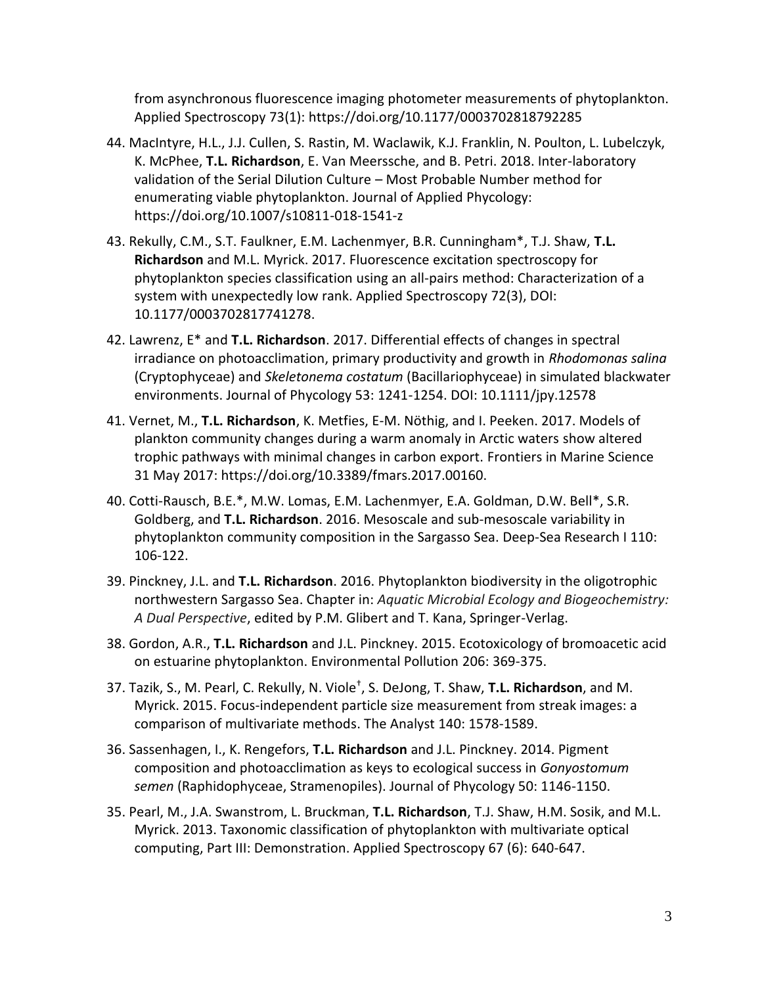from asynchronous fluorescence imaging photometer measurements of phytoplankton. Applied Spectroscopy 73(1): https://doi.org/10.1177/0003702818792285

- 44. MacIntyre, H.L., J.J. Cullen, S. Rastin, M. Waclawik, K.J. Franklin, N. Poulton, L. Lubelczyk, K. McPhee, **T.L. Richardson**, E. Van Meerssche, and B. Petri. 2018. Inter-laboratory validation of the Serial Dilution Culture – Most Probable Number method for enumerating viable phytoplankton. Journal of Applied Phycology: https://doi.org/10.1007/s10811-018-1541-z
- 43. Rekully, C.M., S.T. Faulkner, E.M. Lachenmyer, B.R. Cunningham\*, T.J. Shaw, **T.L. Richardson** and M.L. Myrick. 2017. Fluorescence excitation spectroscopy for phytoplankton species classification using an all-pairs method: Characterization of a system with unexpectedly low rank. Applied Spectroscopy 72(3), DOI: 10.1177/0003702817741278.
- 42. Lawrenz, E\* and **T.L. Richardson**. 2017. Differential effects of changes in spectral irradiance on photoacclimation, primary productivity and growth in *Rhodomonas salina* (Cryptophyceae) and *Skeletonema costatum* (Bacillariophyceae) in simulated blackwater environments. Journal of Phycology 53: 1241-1254. DOI: 10.1111/jpy.12578
- 41. Vernet, M., **T.L. Richardson**, K. Metfies, E-M. Nöthig, and I. Peeken. 2017. Models of plankton community changes during a warm anomaly in Arctic waters show altered trophic pathways with minimal changes in carbon export. Frontiers in Marine Science 31 May 2017: https://doi.org/10.3389/fmars.2017.00160.
- 40. Cotti-Rausch, B.E.\*, M.W. Lomas, E.M. Lachenmyer, E.A. Goldman, D.W. Bell\*, S.R. Goldberg, and **T.L. Richardson**. 2016. Mesoscale and sub-mesoscale variability in phytoplankton community composition in the Sargasso Sea. Deep-Sea Research I 110: 106-122.
- 39. Pinckney, J.L. and **T.L. Richardson**. 2016. Phytoplankton biodiversity in the oligotrophic northwestern Sargasso Sea. Chapter in: *Aquatic Microbial Ecology and Biogeochemistry: A Dual Perspective*, edited by P.M. Glibert and T. Kana, Springer-Verlag.
- 38. Gordon, A.R., **T.L. Richardson** and J.L. Pinckney. 2015. Ecotoxicology of bromoacetic acid on estuarine phytoplankton. Environmental Pollution 206: 369-375.
- 37. Tazik, S., M. Pearl, C. Rekully, N. Viole† , S. DeJong, T. Shaw, **T.L. Richardson**, and M. Myrick. 2015. Focus-independent particle size measurement from streak images: a comparison of multivariate methods. The Analyst 140: 1578-1589.
- 36. Sassenhagen, I., K. Rengefors, **T.L. Richardson** and J.L. Pinckney. 2014. Pigment composition and photoacclimation as keys to ecological success in *Gonyostomum semen* (Raphidophyceae, Stramenopiles). Journal of Phycology 50: 1146-1150.
- 35. Pearl, M., J.A. Swanstrom, L. Bruckman, **T.L. Richardson**, T.J. Shaw, H.M. Sosik, and M.L. Myrick. 2013. Taxonomic classification of phytoplankton with multivariate optical computing, Part III: Demonstration. Applied Spectroscopy 67 (6): 640-647.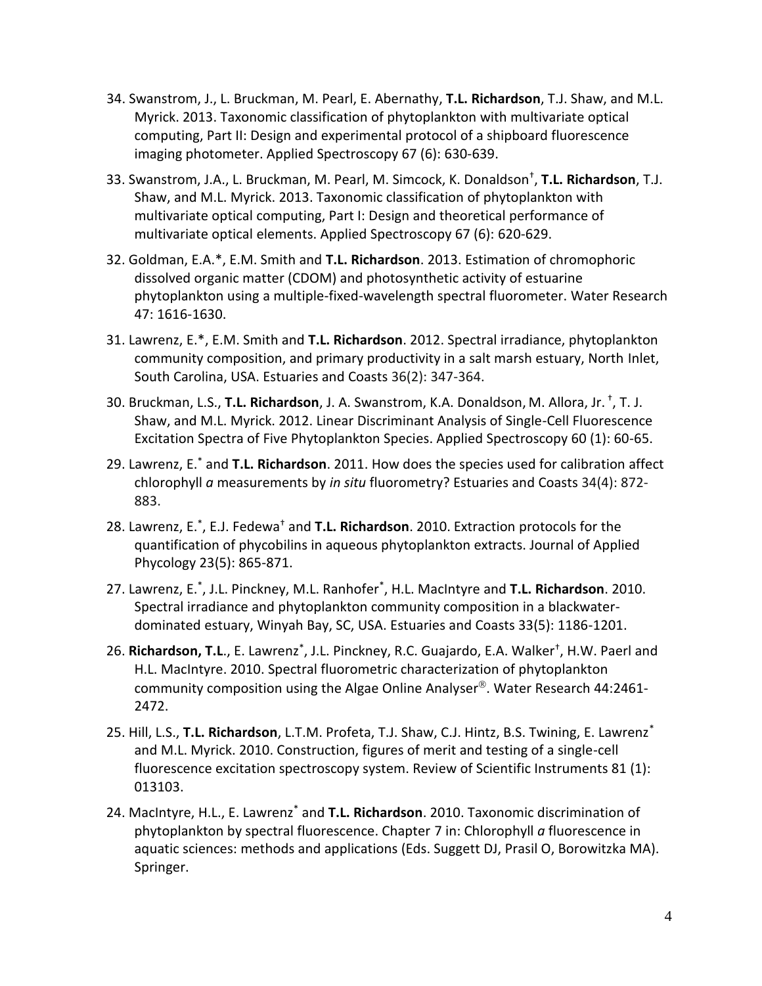- 34. Swanstrom, J., L. Bruckman, M. Pearl, E. Abernathy, **T.L. Richardson**, T.J. Shaw, and M.L. Myrick. 2013. Taxonomic classification of phytoplankton with multivariate optical computing, Part II: Design and experimental protocol of a shipboard fluorescence imaging photometer. Applied Spectroscopy 67 (6): 630-639.
- 33. Swanstrom, J.A., L. Bruckman, M. Pearl, M. Simcock, K. Donaldson† , **T.L. Richardson**, T.J. Shaw, and M.L. Myrick. 2013. Taxonomic classification of phytoplankton with multivariate optical computing, Part I: Design and theoretical performance of multivariate optical elements. Applied Spectroscopy 67 (6): 620-629.
- 32. Goldman, E.A.\*, E.M. Smith and **T.L. Richardson**. 2013. Estimation of chromophoric dissolved organic matter (CDOM) and photosynthetic activity of estuarine phytoplankton using a multiple-fixed-wavelength spectral fluorometer. Water Research 47: 1616-1630.
- 31. Lawrenz, E.\*, E.M. Smith and **T.L. Richardson**. 2012. Spectral irradiance, phytoplankton community composition, and primary productivity in a salt marsh estuary, North Inlet, South Carolina, USA. Estuaries and Coasts 36(2): 347-364.
- 30. Bruckman, L.S., **T.L. Richardson**, J. A. Swanstrom, K.A. Donaldson, M. Allora, Jr. <sup>+</sup>, T. J. Shaw, and M.L. Myrick. 2012. Linear Discriminant Analysis of Single-Cell Fluorescence Excitation Spectra of Five Phytoplankton Species. Applied Spectroscopy 60 (1): 60-65.
- 29. Lawrenz, E.\* and **T.L. Richardson**. 2011. How does the species used for calibration affect chlorophyll *a* measurements by *in situ* fluorometry? Estuaries and Coasts 34(4): 872- 883.
- 28. Lawrenz, E.\* , E.J. Fedewa† and **T.L. Richardson**. 2010. Extraction protocols for the quantification of phycobilins in aqueous phytoplankton extracts. Journal of Applied Phycology 23(5): 865-871.
- 27. Lawrenz, E.\* , J.L. Pinckney, M.L. Ranhofer\* , H.L. MacIntyre and **T.L. Richardson**. 2010. Spectral irradiance and phytoplankton community composition in a blackwaterdominated estuary, Winyah Bay, SC, USA. Estuaries and Coasts 33(5): 1186-1201.
- 26. Richardson, T.L., E. Lawrenz<sup>\*</sup>, J.L. Pinckney, R.C. Guajardo, E.A. Walker<sup>†</sup>, H.W. Paerl and H.L. MacIntyre. 2010. Spectral fluorometric characterization of phytoplankton community composition using the Algae Online Analyser<sup>®</sup>. Water Research 44:2461-2472.
- 25. Hill, L.S., **T.L. Richardson**, L.T.M. Profeta, T.J. Shaw, C.J. Hintz, B.S. Twining, E. Lawrenz\* and M.L. Myrick. 2010. Construction, figures of merit and testing of a single-cell fluorescence excitation spectroscopy system. Review of Scientific Instruments 81 (1): 013103.
- 24. MacIntyre, H.L., E. Lawrenz\* and **T.L. Richardson**. 2010. Taxonomic discrimination of phytoplankton by spectral fluorescence. Chapter 7 in: Chlorophyll *a* fluorescence in aquatic sciences: methods and applications (Eds. Suggett DJ, Prasil O, Borowitzka MA). Springer.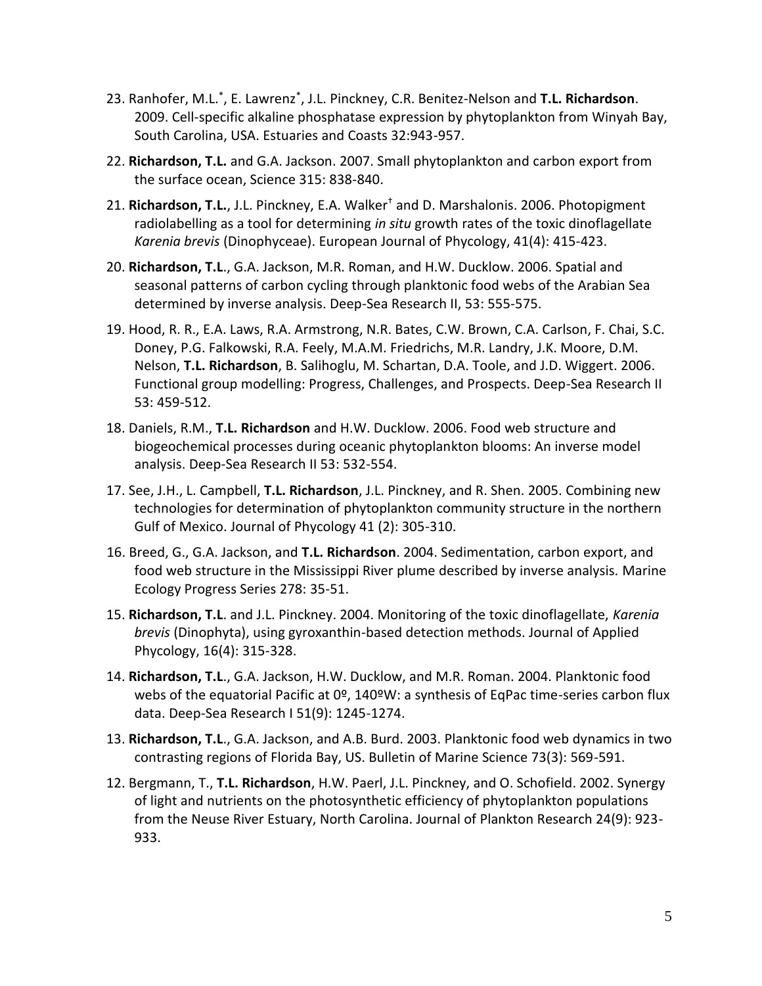- 23. Ranhofer, M.L.\* , E. Lawrenz\* , J.L. Pinckney, C.R. Benitez-Nelson and **T.L. Richardson**. 2009. Cell-specific alkaline phosphatase expression by phytoplankton from Winyah Bay, South Carolina, USA. Estuaries and Coasts 32:943-957.
- 22. **Richardson, T.L.** and G.A. Jackson. 2007. Small phytoplankton and carbon export from the surface ocean, Science 315: 838-840.
- 21. **Richardson, T.L.**, J.L. Pinckney, E.A. Walker† and D. Marshalonis. 2006. Photopigment radiolabelling as a tool for determining *in situ* growth rates of the toxic dinoflagellate *Karenia brevis* (Dinophyceae). European Journal of Phycology, 41(4): 415-423.
- 20. **Richardson, T.L**., G.A. Jackson, M.R. Roman, and H.W. Ducklow. 2006. Spatial and seasonal patterns of carbon cycling through planktonic food webs of the Arabian Sea determined by inverse analysis. Deep-Sea Research II, 53: 555-575.
- 19. Hood, R. R., E.A. Laws, R.A. Armstrong, N.R. Bates, C.W. Brown, C.A. Carlson, F. Chai, S.C. Doney, P.G. Falkowski, R.A. Feely, M.A.M. Friedrichs, M.R. Landry, J.K. Moore, D.M. Nelson, **T.L. Richardson**, B. Salihoglu, M. Schartan, D.A. Toole, and J.D. Wiggert. 2006. Functional group modelling: Progress, Challenges, and Prospects. Deep-Sea Research II 53: 459-512.
- 18. Daniels, R.M., **T.L. Richardson** and H.W. Ducklow. 2006. Food web structure and biogeochemical processes during oceanic phytoplankton blooms: An inverse model analysis. Deep-Sea Research II 53: 532-554.
- 17. See, J.H., L. Campbell, **T.L. Richardson**, J.L. Pinckney, and R. Shen. 2005. Combining new technologies for determination of phytoplankton community structure in the northern Gulf of Mexico. Journal of Phycology 41 (2): 305-310.
- 16. Breed, G., G.A. Jackson, and **T.L. Richardson**. 2004. Sedimentation, carbon export, and food web structure in the Mississippi River plume described by inverse analysis. Marine Ecology Progress Series 278: 35-51.
- 15. **Richardson, T.L**. and J.L. Pinckney. 2004. Monitoring of the toxic dinoflagellate, *Karenia brevis* (Dinophyta), using gyroxanthin-based detection methods. Journal of Applied Phycology, 16(4): 315-328.
- 14. **Richardson, T.L**., G.A. Jackson, H.W. Ducklow, and M.R. Roman. 2004. Planktonic food webs of the equatorial Pacific at 0º, 140ºW: a synthesis of EqPac time-series carbon flux data. Deep-Sea Research I 51(9): 1245-1274.
- 13. **Richardson, T.L**., G.A. Jackson, and A.B. Burd. 2003. Planktonic food web dynamics in two contrasting regions of Florida Bay, US. Bulletin of Marine Science 73(3): 569-591.
- 12. Bergmann, T., **T.L. Richardson**, H.W. Paerl, J.L. Pinckney, and O. Schofield. 2002. Synergy of light and nutrients on the photosynthetic efficiency of phytoplankton populations from the Neuse River Estuary, North Carolina. Journal of Plankton Research 24(9): 923- 933.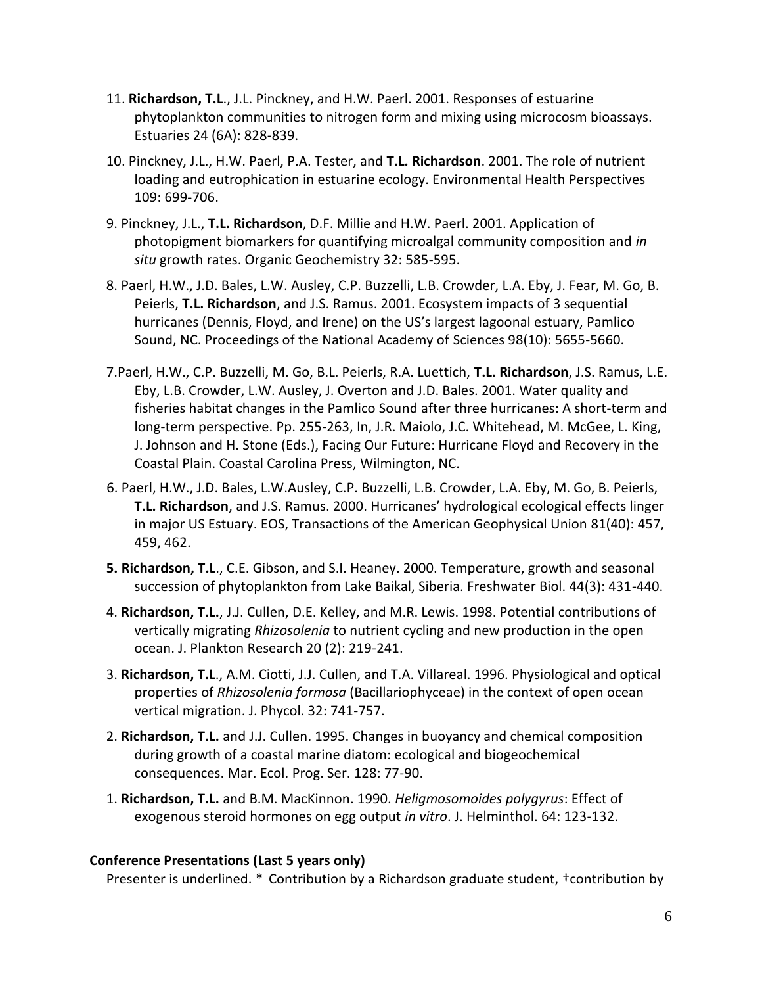- 11. **Richardson, T.L**., J.L. Pinckney, and H.W. Paerl. 2001. Responses of estuarine phytoplankton communities to nitrogen form and mixing using microcosm bioassays. Estuaries 24 (6A): 828-839.
- 10. Pinckney, J.L., H.W. Paerl, P.A. Tester, and **T.L. Richardson**. 2001. The role of nutrient loading and eutrophication in estuarine ecology. Environmental Health Perspectives 109: 699-706.
- 9. Pinckney, J.L., **T.L. Richardson**, D.F. Millie and H.W. Paerl. 2001. Application of photopigment biomarkers for quantifying microalgal community composition and *in situ* growth rates. Organic Geochemistry 32: 585-595.
- 8. Paerl, H.W., J.D. Bales, L.W. Ausley, C.P. Buzzelli, L.B. Crowder, L.A. Eby, J. Fear, M. Go, B. Peierls, **T.L. Richardson**, and J.S. Ramus. 2001. Ecosystem impacts of 3 sequential hurricanes (Dennis, Floyd, and Irene) on the US's largest lagoonal estuary, Pamlico Sound, NC. Proceedings of the National Academy of Sciences 98(10): 5655-5660.
- 7.Paerl, H.W., C.P. Buzzelli, M. Go, B.L. Peierls, R.A. Luettich, **T.L. Richardson**, J.S. Ramus, L.E. Eby, L.B. Crowder, L.W. Ausley, J. Overton and J.D. Bales. 2001. Water quality and fisheries habitat changes in the Pamlico Sound after three hurricanes: A short-term and long-term perspective. Pp. 255-263, In, J.R. Maiolo, J.C. Whitehead, M. McGee, L. King, J. Johnson and H. Stone (Eds.), Facing Our Future: Hurricane Floyd and Recovery in the Coastal Plain. Coastal Carolina Press, Wilmington, NC.
- 6. Paerl, H.W., J.D. Bales, L.W.Ausley, C.P. Buzzelli, L.B. Crowder, L.A. Eby, M. Go, B. Peierls, **T.L. Richardson**, and J.S. Ramus. 2000. Hurricanes' hydrological ecological effects linger in major US Estuary. EOS, Transactions of the American Geophysical Union 81(40): 457, 459, 462.
- **5. Richardson, T.L**., C.E. Gibson, and S.I. Heaney. 2000. Temperature, growth and seasonal succession of phytoplankton from Lake Baikal, Siberia. Freshwater Biol. 44(3): 431-440.
- 4. **Richardson, T.L.**, J.J. Cullen, D.E. Kelley, and M.R. Lewis. 1998. Potential contributions of vertically migrating *Rhizosolenia* to nutrient cycling and new production in the open ocean. J. Plankton Research 20 (2): 219-241.
- 3. **Richardson, T.L**., A.M. Ciotti, J.J. Cullen, and T.A. Villareal. 1996. Physiological and optical properties of *Rhizosolenia formosa* (Bacillariophyceae) in the context of open ocean vertical migration. J. Phycol. 32: 741-757.
- 2. **Richardson, T.L.** and J.J. Cullen. 1995. Changes in buoyancy and chemical composition during growth of a coastal marine diatom: ecological and biogeochemical consequences. Mar. Ecol. Prog. Ser. 128: 77-90.
- 1. **Richardson, T.L.** and B.M. MacKinnon. 1990. *Heligmosomoides polygyrus*: Effect of exogenous steroid hormones on egg output *in vitro*. J. Helminthol. 64: 123-132.

#### **Conference Presentations (Last 5 years only)**

Presenter is underlined. \* Contribution by a Richardson graduate student, †contribution by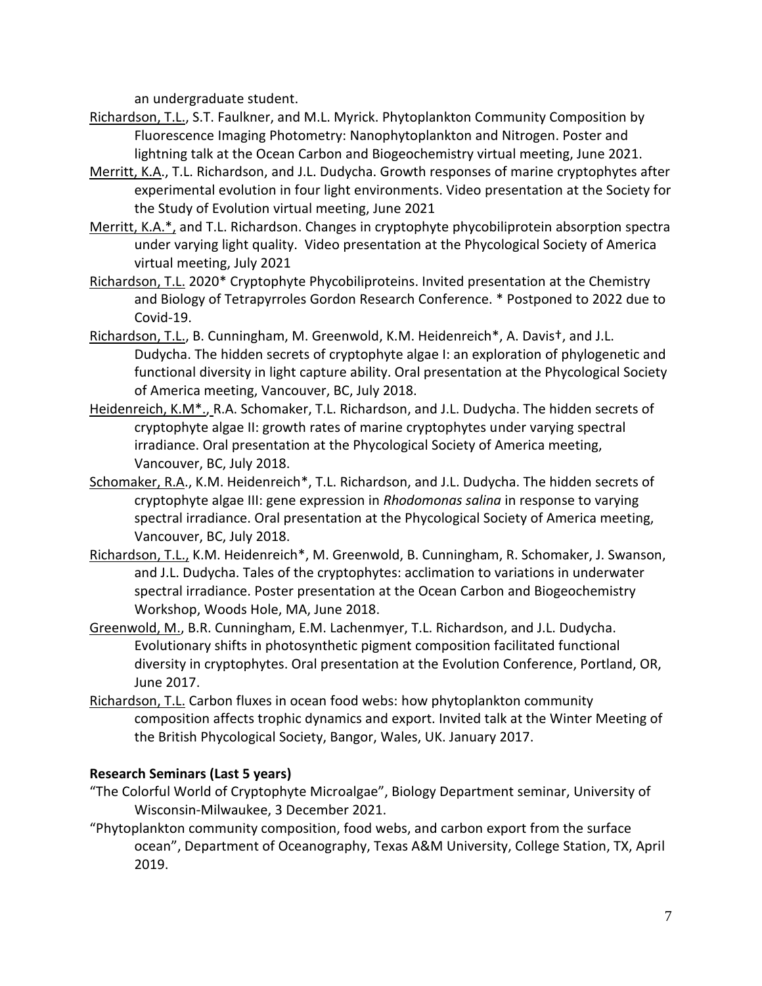an undergraduate student.

- Richardson, T.L., S.T. Faulkner, and M.L. Myrick. Phytoplankton Community Composition by Fluorescence Imaging Photometry: Nanophytoplankton and Nitrogen. Poster and lightning talk at the Ocean Carbon and Biogeochemistry virtual meeting, June 2021.
- Merritt, K.A., T.L. Richardson, and J.L. Dudycha. Growth responses of marine cryptophytes after experimental evolution in four light environments. Video presentation at the Society for the Study of Evolution virtual meeting, June 2021
- Merritt, K.A.\*, and T.L. Richardson. Changes in cryptophyte phycobiliprotein absorption spectra under varying light quality. Video presentation at the Phycological Society of America virtual meeting, July 2021
- Richardson, T.L. 2020\* Cryptophyte Phycobiliproteins. Invited presentation at the Chemistry and Biology of Tetrapyrroles Gordon Research Conference. \* Postponed to 2022 due to Covid-19.
- Richardson, T.L., B. Cunningham, M. Greenwold, K.M. Heidenreich\*, A. Davis†, and J.L. Dudycha. The hidden secrets of cryptophyte algae I: an exploration of phylogenetic and functional diversity in light capture ability. Oral presentation at the Phycological Society of America meeting, Vancouver, BC, July 2018.
- Heidenreich, K.M<sup>\*</sup>., R.A. Schomaker, T.L. Richardson, and J.L. Dudycha. The hidden secrets of cryptophyte algae II: growth rates of marine cryptophytes under varying spectral irradiance. Oral presentation at the Phycological Society of America meeting, Vancouver, BC, July 2018.
- Schomaker, R.A., K.M. Heidenreich\*, T.L. Richardson, and J.L. Dudycha. The hidden secrets of cryptophyte algae III: gene expression in *Rhodomonas salina* in response to varying spectral irradiance. Oral presentation at the Phycological Society of America meeting, Vancouver, BC, July 2018.
- Richardson, T.L., K.M. Heidenreich\*, M. Greenwold, B. Cunningham, R. Schomaker, J. Swanson, and J.L. Dudycha. Tales of the cryptophytes: acclimation to variations in underwater spectral irradiance. Poster presentation at the Ocean Carbon and Biogeochemistry Workshop, Woods Hole, MA, June 2018.
- Greenwold, M., B.R. Cunningham, E.M. Lachenmyer, T.L. Richardson, and J.L. Dudycha. Evolutionary shifts in photosynthetic pigment composition facilitated functional diversity in cryptophytes. Oral presentation at the Evolution Conference, Portland, OR, June 2017.
- Richardson, T.L. Carbon fluxes in ocean food webs: how phytoplankton community composition affects trophic dynamics and export. Invited talk at the Winter Meeting of the British Phycological Society, Bangor, Wales, UK. January 2017.

## **Research Seminars (Last 5 years)**

- "The Colorful World of Cryptophyte Microalgae", Biology Department seminar, University of Wisconsin-Milwaukee, 3 December 2021.
- "Phytoplankton community composition, food webs, and carbon export from the surface ocean", Department of Oceanography, Texas A&M University, College Station, TX, April 2019.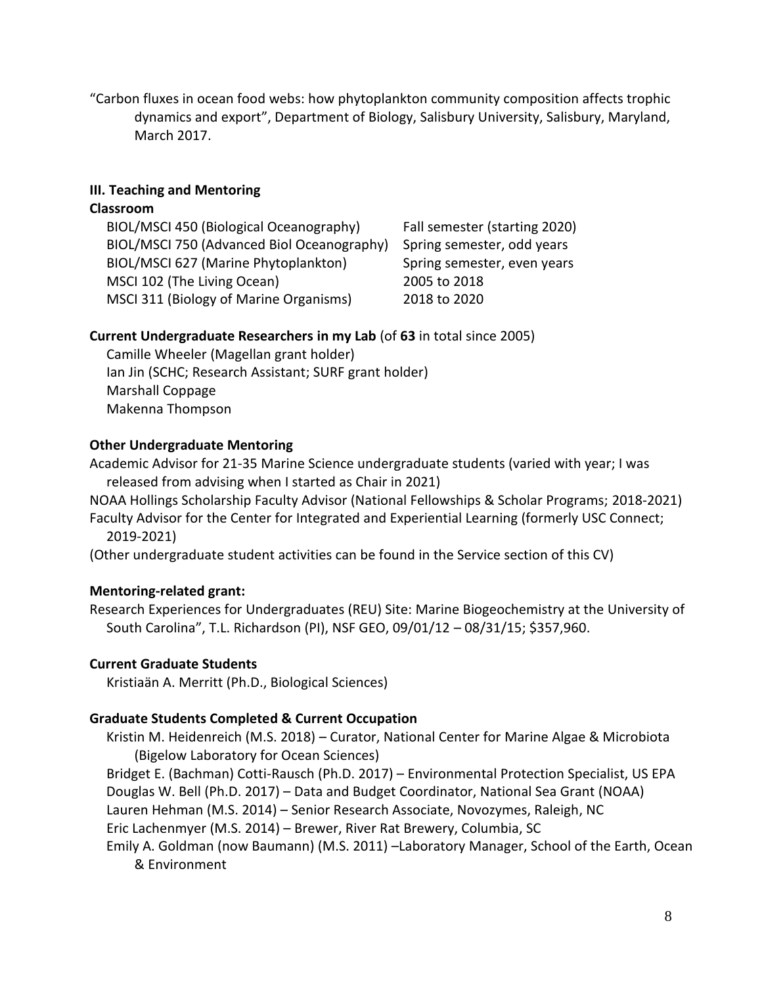"Carbon fluxes in ocean food webs: how phytoplankton community composition affects trophic dynamics and export", Department of Biology, Salisbury University, Salisbury, Maryland, March 2017.

## **III. Teaching and Mentoring**

### **Classroom**

| BIOL/MSCI 450 (Biological Oceanography)    | Fall semester (starting 2020) |
|--------------------------------------------|-------------------------------|
| BIOL/MSCI 750 (Advanced Biol Oceanography) | Spring semester, odd years    |
| BIOL/MSCI 627 (Marine Phytoplankton)       | Spring semester, even years   |
| MSCI 102 (The Living Ocean)                | 2005 to 2018                  |
| MSCI 311 (Biology of Marine Organisms)     | 2018 to 2020                  |

## **Current Undergraduate Researchers in my Lab** (of **63** in total since 2005)

Camille Wheeler (Magellan grant holder) Ian Jin (SCHC; Research Assistant; SURF grant holder) Marshall Coppage Makenna Thompson

## **Other Undergraduate Mentoring**

Academic Advisor for 21-35 Marine Science undergraduate students (varied with year; I was released from advising when I started as Chair in 2021)

NOAA Hollings Scholarship Faculty Advisor (National Fellowships & Scholar Programs; 2018-2021)

Faculty Advisor for the Center for Integrated and Experiential Learning (formerly USC Connect; 2019-2021)

(Other undergraduate student activities can be found in the Service section of this CV)

# **Mentoring-related grant:**

Research Experiences for Undergraduates (REU) Site: Marine Biogeochemistry at the University of South Carolina", T.L. Richardson (PI), NSF GEO, 09/01/12 – 08/31/15; \$357,960.

# **Current Graduate Students**

Kristiaän A. Merritt (Ph.D., Biological Sciences)

## **Graduate Students Completed & Current Occupation**

Kristin M. Heidenreich (M.S. 2018) – Curator, National Center for Marine Algae & Microbiota (Bigelow Laboratory for Ocean Sciences)

Bridget E. (Bachman) Cotti-Rausch (Ph.D. 2017) – Environmental Protection Specialist, US EPA Douglas W. Bell (Ph.D. 2017) – Data and Budget Coordinator, National Sea Grant (NOAA)

Lauren Hehman (M.S. 2014) – Senior Research Associate, Novozymes, Raleigh, NC

Eric Lachenmyer (M.S. 2014) – Brewer, River Rat Brewery, Columbia, SC

Emily A. Goldman (now Baumann) (M.S. 2011) –Laboratory Manager, School of the Earth, Ocean & Environment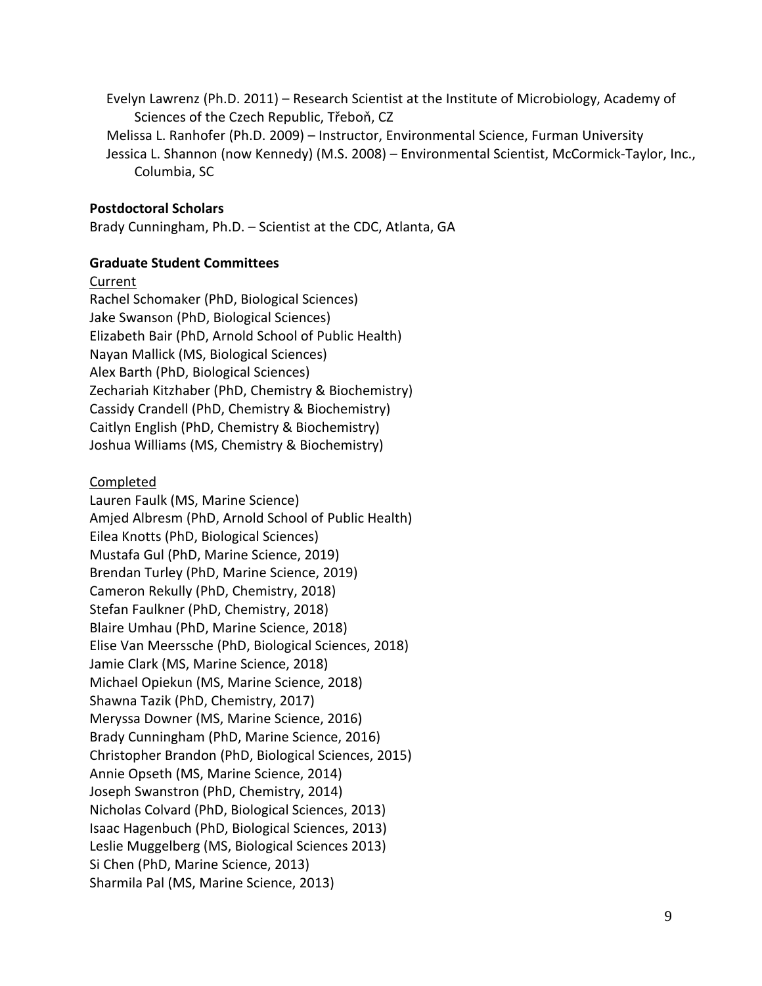Evelyn Lawrenz (Ph.D. 2011) – Research Scientist at the Institute of Microbiology, Academy of Sciences of the Czech Republic, Třeboň, CZ

Melissa L. Ranhofer (Ph.D. 2009) – Instructor, Environmental Science, Furman University Jessica L. Shannon (now Kennedy) (M.S. 2008) – Environmental Scientist, McCormick-Taylor, Inc., Columbia, SC

### **Postdoctoral Scholars**

Brady Cunningham, Ph.D. – Scientist at the CDC, Atlanta, GA

### **Graduate Student Committees**

#### Current

Rachel Schomaker (PhD, Biological Sciences) Jake Swanson (PhD, Biological Sciences) Elizabeth Bair (PhD, Arnold School of Public Health) Nayan Mallick (MS, Biological Sciences) Alex Barth (PhD, Biological Sciences) Zechariah Kitzhaber (PhD, Chemistry & Biochemistry) Cassidy Crandell (PhD, Chemistry & Biochemistry) Caitlyn English (PhD, Chemistry & Biochemistry) Joshua Williams (MS, Chemistry & Biochemistry)

### Completed

Lauren Faulk (MS, Marine Science) Amjed Albresm (PhD, Arnold School of Public Health) Eilea Knotts (PhD, Biological Sciences) Mustafa Gul (PhD, Marine Science, 2019) Brendan Turley (PhD, Marine Science, 2019) Cameron Rekully (PhD, Chemistry, 2018) Stefan Faulkner (PhD, Chemistry, 2018) Blaire Umhau (PhD, Marine Science, 2018) Elise Van Meerssche (PhD, Biological Sciences, 2018) Jamie Clark (MS, Marine Science, 2018) Michael Opiekun (MS, Marine Science, 2018) Shawna Tazik (PhD, Chemistry, 2017) Meryssa Downer (MS, Marine Science, 2016) Brady Cunningham (PhD, Marine Science, 2016) Christopher Brandon (PhD, Biological Sciences, 2015) Annie Opseth (MS, Marine Science, 2014) Joseph Swanstron (PhD, Chemistry, 2014) Nicholas Colvard (PhD, Biological Sciences, 2013) Isaac Hagenbuch (PhD, Biological Sciences, 2013) Leslie Muggelberg (MS, Biological Sciences 2013) Si Chen (PhD, Marine Science, 2013) Sharmila Pal (MS, Marine Science, 2013)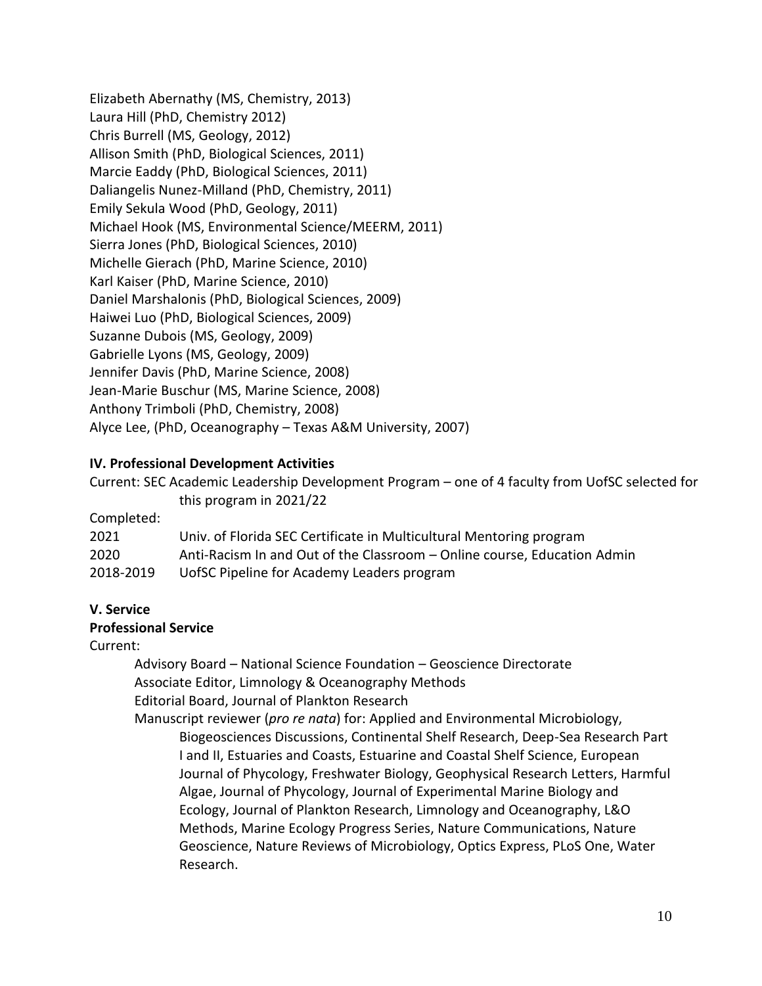Elizabeth Abernathy (MS, Chemistry, 2013) Laura Hill (PhD, Chemistry 2012) Chris Burrell (MS, Geology, 2012) Allison Smith (PhD, Biological Sciences, 2011) Marcie Eaddy (PhD, Biological Sciences, 2011) Daliangelis Nunez-Milland (PhD, Chemistry, 2011) Emily Sekula Wood (PhD, Geology, 2011) Michael Hook (MS, Environmental Science/MEERM, 2011) Sierra Jones (PhD, Biological Sciences, 2010) Michelle Gierach (PhD, Marine Science, 2010) Karl Kaiser (PhD, Marine Science, 2010) Daniel Marshalonis (PhD, Biological Sciences, 2009) Haiwei Luo (PhD, Biological Sciences, 2009) Suzanne Dubois (MS, Geology, 2009) Gabrielle Lyons (MS, Geology, 2009) Jennifer Davis (PhD, Marine Science, 2008) Jean-Marie Buschur (MS, Marine Science, 2008) Anthony Trimboli (PhD, Chemistry, 2008) Alyce Lee, (PhD, Oceanography – Texas A&M University, 2007)

### **IV. Professional Development Activities**

Current: SEC Academic Leadership Development Program – one of 4 faculty from UofSC selected for this program in 2021/22

#### Completed:

| 2021      | Univ. of Florida SEC Certificate in Multicultural Mentoring program      |
|-----------|--------------------------------------------------------------------------|
| 2020      | Anti-Racism In and Out of the Classroom – Online course, Education Admin |
| 2018-2019 | UofSC Pipeline for Academy Leaders program                               |

#### **V. Service Professional Service**

Current:

Advisory Board – National Science Foundation – Geoscience Directorate Associate Editor, Limnology & Oceanography Methods Editorial Board, Journal of Plankton Research

Manuscript reviewer (*pro re nata*) for: Applied and Environmental Microbiology, Biogeosciences Discussions, Continental Shelf Research, Deep-Sea Research Part I and II, Estuaries and Coasts, Estuarine and Coastal Shelf Science, European Journal of Phycology, Freshwater Biology, Geophysical Research Letters, Harmful Algae, Journal of Phycology, Journal of Experimental Marine Biology and Ecology, Journal of Plankton Research, Limnology and Oceanography, L&O Methods, Marine Ecology Progress Series, Nature Communications, Nature Geoscience, Nature Reviews of Microbiology, Optics Express, PLoS One, Water Research.